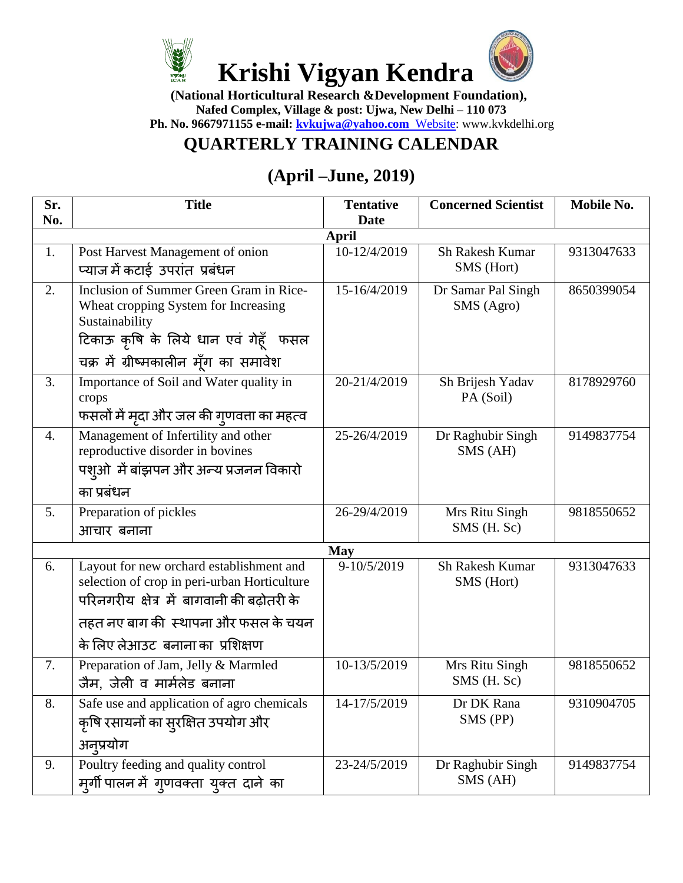

 **(National Horticultural Research &Development Foundation), Nafed Complex, Village & post: Ujwa, New Delhi – 110 073 Ph. No. 9667971155 e-mail: [kvkujwa@yahoo.com](mailto:kvkujwa@yahoo.com%20%20Website)** Website: www.kvkdelhi.org

## **QUARTERLY TRAINING CALENDAR**

## **(April –June, 2019)**

| Sr.<br>No.   | <b>Title</b>                                                                                                                                                                                                       | <b>Tentative</b><br><b>Date</b> | <b>Concerned Scientist</b>           | Mobile No. |  |  |
|--------------|--------------------------------------------------------------------------------------------------------------------------------------------------------------------------------------------------------------------|---------------------------------|--------------------------------------|------------|--|--|
| <b>April</b> |                                                                                                                                                                                                                    |                                 |                                      |            |  |  |
| 1.           | Post Harvest Management of onion                                                                                                                                                                                   | 10-12/4/2019                    | Sh Rakesh Kumar<br>SMS (Hort)        | 9313047633 |  |  |
|              | प्याज में कटाई उपरांत प्रबंधन                                                                                                                                                                                      |                                 |                                      |            |  |  |
| 2.           | Inclusion of Summer Green Gram in Rice-<br>Wheat cropping System for Increasing<br>Sustainability                                                                                                                  | 15-16/4/2019                    | Dr Samar Pal Singh<br>SMS (Agro)     | 8650399054 |  |  |
|              | टिकाऊ कृषि के लिये धान एवं गेहूँ फसल<br>चक्र में ग्रीष्मकालीन मूँग का समावेश                                                                                                                                       |                                 |                                      |            |  |  |
| 3.           | Importance of Soil and Water quality in<br>crops<br>फसलों में मृदा और जल की ग्णवत्ता का महत्व                                                                                                                      | 20-21/4/2019                    | Sh Brijesh Yadav<br>PA (Soil)        | 8178929760 |  |  |
| 4.           | Management of Infertility and other<br>reproductive disorder in bovines<br>पश्ओ में बांझपन और अन्य प्रजनन विकारो<br>का प्रबंधन                                                                                     | 25-26/4/2019                    | Dr Raghubir Singh<br>SMS (AH)        | 9149837754 |  |  |
|              |                                                                                                                                                                                                                    |                                 |                                      |            |  |  |
| 5.           | Preparation of pickles<br>आचार बनाना                                                                                                                                                                               | 26-29/4/2019                    | Mrs Ritu Singh<br>SMS (H. Sc)        | 9818550652 |  |  |
|              |                                                                                                                                                                                                                    | <b>May</b>                      |                                      |            |  |  |
| 6.           | Layout for new orchard establishment and<br>selection of crop in peri-urban Horticulture<br>परिनगरीय क्षेत्र में बागवानी की बढ़ोतरी के<br>तहत नए बाग की स्थापना और फसल के चयन<br>के लिए लेआउट  बनाना का  प्रशिक्षण | 9-10/5/2019                     | <b>Sh Rakesh Kumar</b><br>SMS (Hort) | 9313047633 |  |  |
| 7.           | Preparation of Jam, Jelly & Marmled<br>जैम, जेली व मार्मलेड बनाना                                                                                                                                                  | 10-13/5/2019                    | Mrs Ritu Singh<br>SMS (H. Sc)        | 9818550652 |  |  |
| 8.           | Safe use and application of agro chemicals<br>कृषि रसायनों का सुरक्षित उपयोग और<br>अनुप्रयोग                                                                                                                       | 14-17/5/2019                    | Dr DK Rana<br>SMS (PP)               | 9310904705 |  |  |
| 9.           | Poultry feeding and quality control<br>मूर्गी पालन में गुणवक्ता युक्त दाने का                                                                                                                                      | 23-24/5/2019                    | Dr Raghubir Singh<br>SMS (AH)        | 9149837754 |  |  |